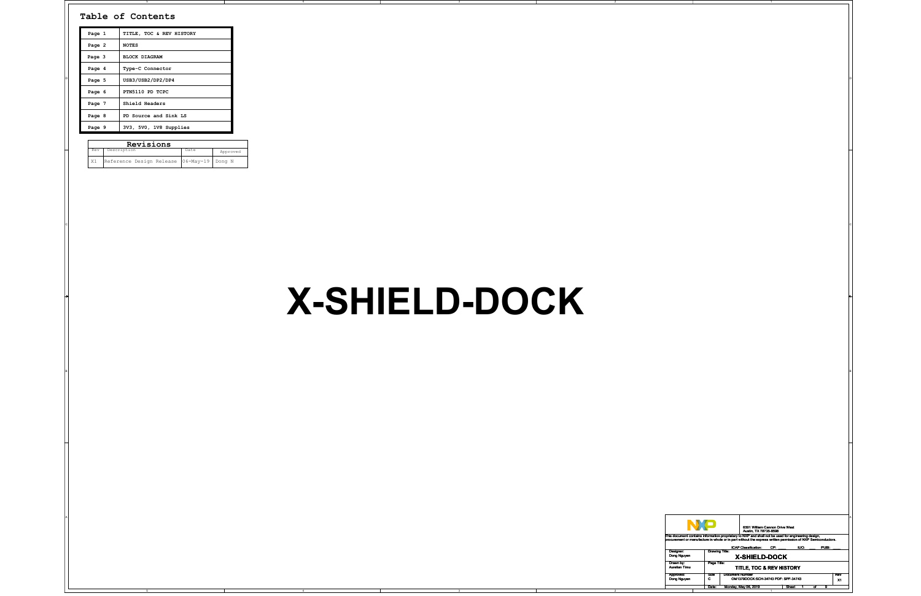

| TITLE, TOC & REV HISTORY<br>Page 1<br>Page 2<br><b>NOTES</b><br>BLOCK DIAGRAM<br>Page 3<br>Page 4<br>Type-C Connector<br>USB3/USB2/DP2/DP4<br>Page 5<br>PTN5110 PD TCPC<br>Page 6<br>Page 7<br>Shield Headers<br>PD Source and Sink LS<br>Page 8<br>3V3, 5V0, 1V8 Supplies<br>Page 9<br>Revisions<br>Rev Description<br>Date<br>Approved |               |                                                                                                                                                                                                                                                                                                                                                                                                                                                                                                                                                                                                                                                       |
|------------------------------------------------------------------------------------------------------------------------------------------------------------------------------------------------------------------------------------------------------------------------------------------------------------------------------------------|---------------|-------------------------------------------------------------------------------------------------------------------------------------------------------------------------------------------------------------------------------------------------------------------------------------------------------------------------------------------------------------------------------------------------------------------------------------------------------------------------------------------------------------------------------------------------------------------------------------------------------------------------------------------------------|
| X1   Reference Design Release   06-May-19   Dong N                                                                                                                                                                                                                                                                                       | X-SHIELD-DOCK |                                                                                                                                                                                                                                                                                                                                                                                                                                                                                                                                                                                                                                                       |
|                                                                                                                                                                                                                                                                                                                                          |               |                                                                                                                                                                                                                                                                                                                                                                                                                                                                                                                                                                                                                                                       |
|                                                                                                                                                                                                                                                                                                                                          |               | <b>NO</b><br>6501 William Cannon Drive West<br>Austin, TX 78735-8598<br>This document contains information proprietary to NXP and shall not be used for engineering design,<br>procurement or manufacture in whole or in part without the express written permission of NXP Semiconductors.<br>ICAP Classification: CP:<br>IUO:<br>PUBI:<br>Designer:<br>Dong Nguyen<br><b>Drawing Title:</b><br>X-SHIELD-DOCK<br>Drawn by:<br>Aurelian Timu<br>Page Title:<br>TITLE, TOC & REV HISTORY<br>Document Number<br>OM1379DOCK:SCH-34743 PDF: SPF-34743<br>Approved:<br>Dong Nguyen<br>Size<br>C<br>Rev<br>X1<br>Date: Monday, May 06, 2019<br>Sheet 1 of 9 |

2

## **X-SHIELD-DOCK**

| Page 1 | TITLE, TOC & REV HISTORY |  |
|--------|--------------------------|--|
| Page 2 | <b>NOTES</b>             |  |
| Page 3 | <b>BLOCK DIAGRAM</b>     |  |
| Page 4 | Type-C Connector         |  |
| Page 5 | USB3/USB2/DP2/DP4        |  |
| Page 6 | PTN5110 PD TCPC          |  |
| Page 7 | Shield Headers           |  |
| Page 8 | PD Source and Sink LS    |  |
| Page 9 | 3V3, 5V0, 1V8 Supplies   |  |

## **Table of Contents**

| Rev | Description                               | Date | Approved |
|-----|-------------------------------------------|------|----------|
| X1  | Reference Design Release 06-May-19 Dong N |      |          |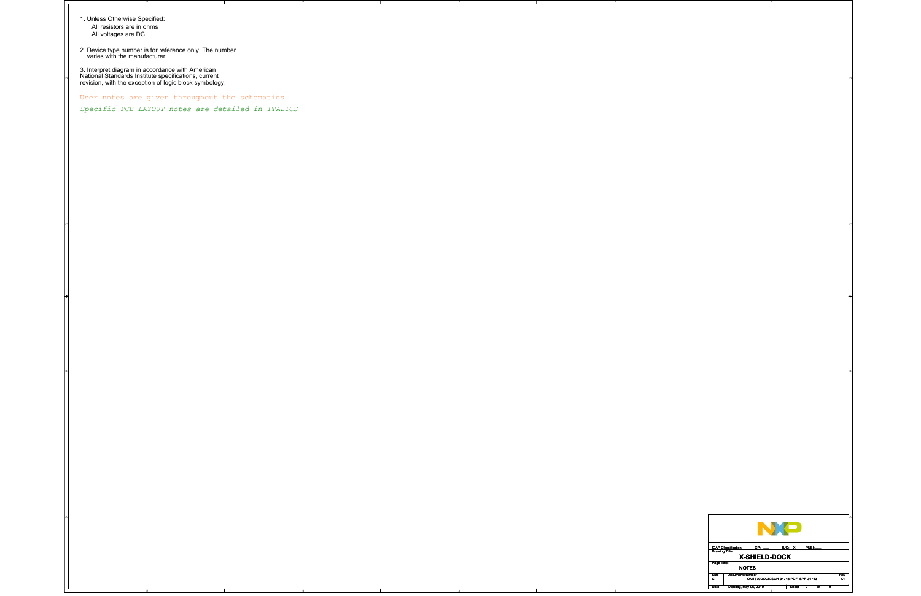2

2

C

A

1. Unless Otherwise Specified: All resistors are in ohms All voltages are DC

2. Device type number is for reference only. The number varies with the manufacturer.

3. Interpret diagram in accordance with American National Standards Institute specifications, current revision, with the exception of logic block symbology.



User notes are given throughout the schematics

*Specific PCB LAYOUT notes are detailed in ITALICS*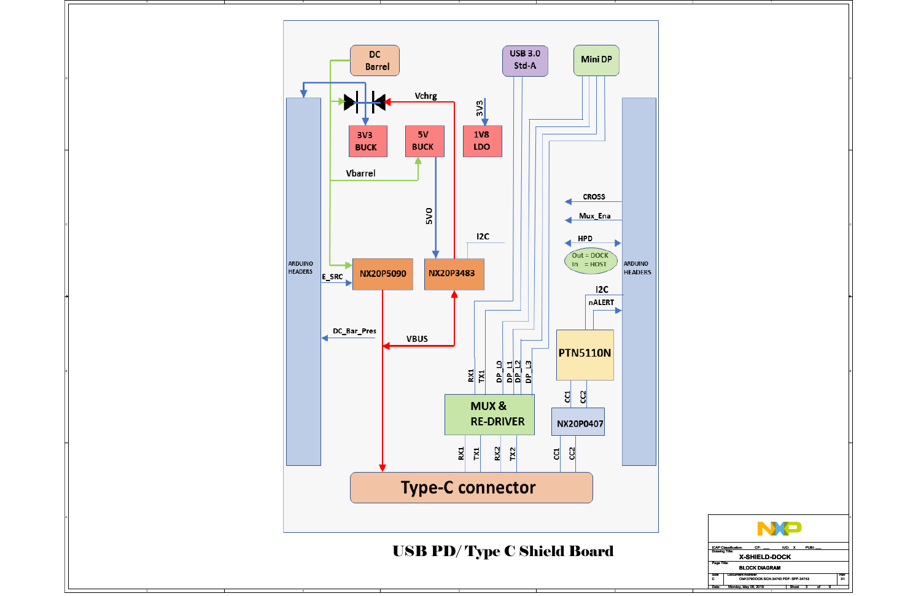

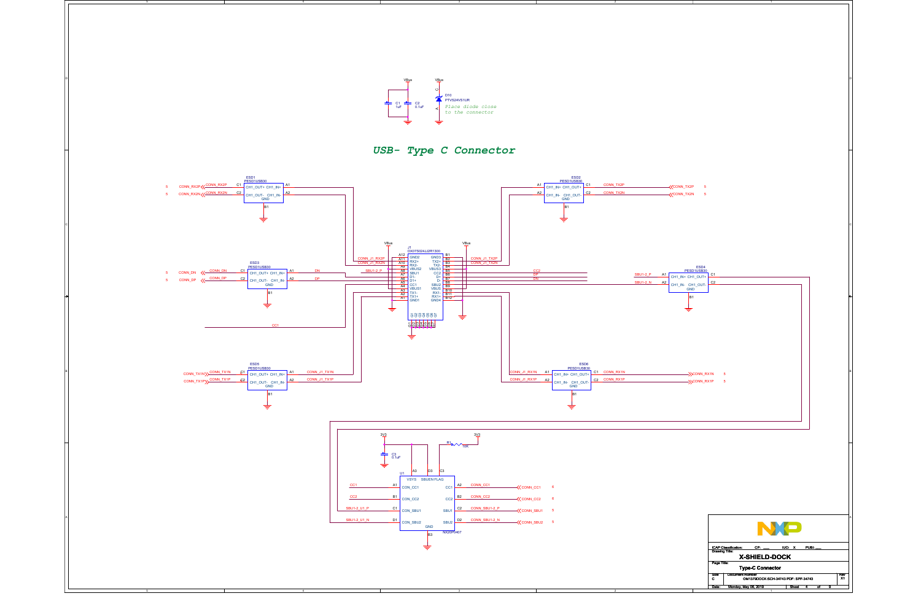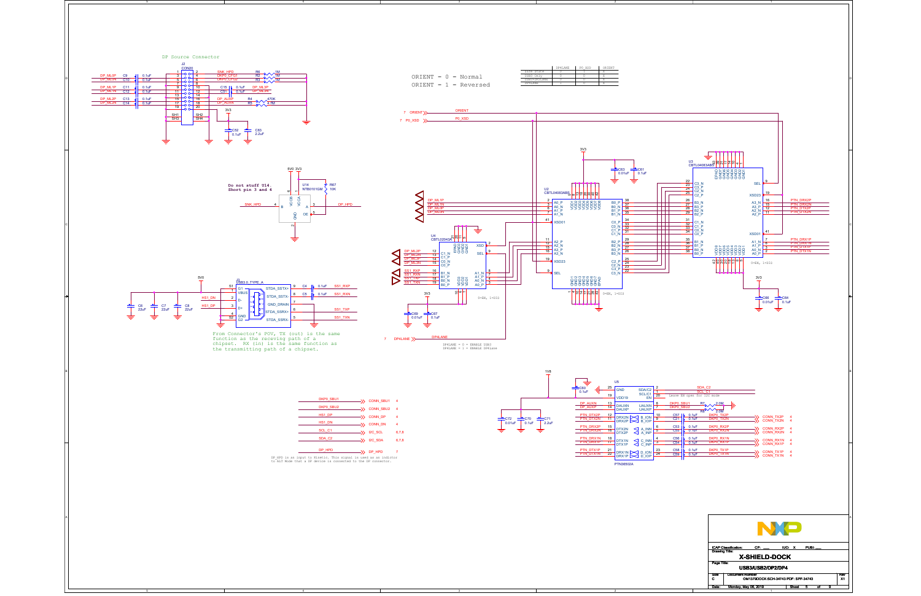2

C

A

From Connector's POV, TX (out) is the same function as the receving path of a chipset. RX (in) is the same function as the transmitting path of a chipset.

|              | DP4TANE | PO XSD | ORTENT |
|--------------|---------|--------|--------|
| Safe State   |         |        |        |
| USB3 Only    |         |        |        |
| USB3+DP2LANE |         |        |        |
| DP4T.ANE     |         |        |        |





Date: Monday, May 06, 2019 Sheet

5 9

|  | SCL <sub>C1</sub>                                                                                                                   | $\rightarrow$ 12C SCL | 6,7,8 |
|--|-------------------------------------------------------------------------------------------------------------------------------------|-----------------------|-------|
|  |                                                                                                                                     |                       |       |
|  | SDA C <sub>2</sub>                                                                                                                  | $\rightarrow$ 12C SDA | 6,7,8 |
|  |                                                                                                                                     |                       |       |
|  | DP HPD                                                                                                                              | $\rightarrow$ DP HPD  |       |
|  |                                                                                                                                     |                       |       |
|  | DP HPD is an input to Kinetic. This signal is used as an indictor<br>to ALT Mode that a DP device is connected to the DP connector. |                       |       |
|  |                                                                                                                                     |                       |       |

DKP0\_SBU1



C72<br>0.01uF







HS1\_DP HS1\_DN

 $\longrightarrow$  CONN\_SBU1 4

 $\Rightarrow$  CONN\_DP 4  $\Rightarrow$  CONN\_DN 4

DKP0\_SBU2 CONN\_SBU2 4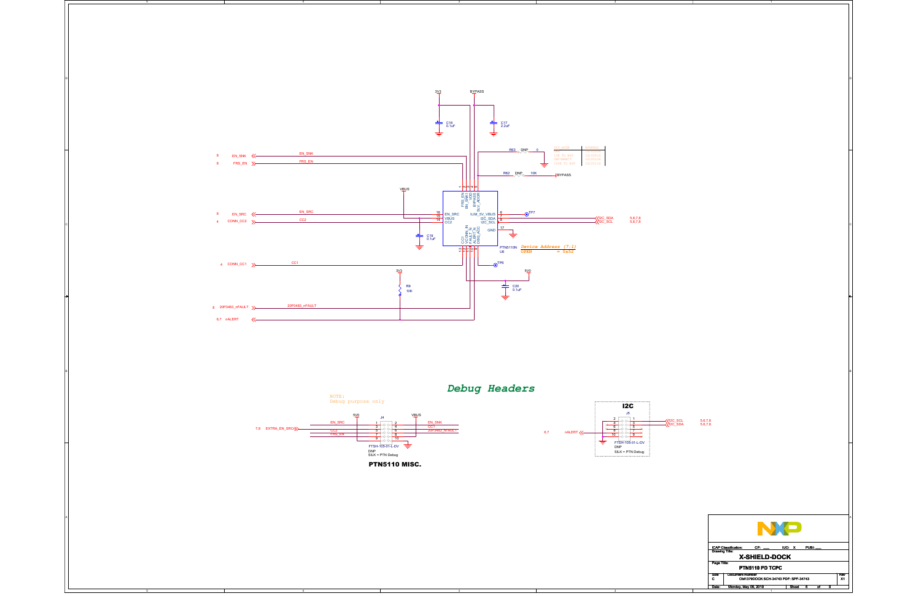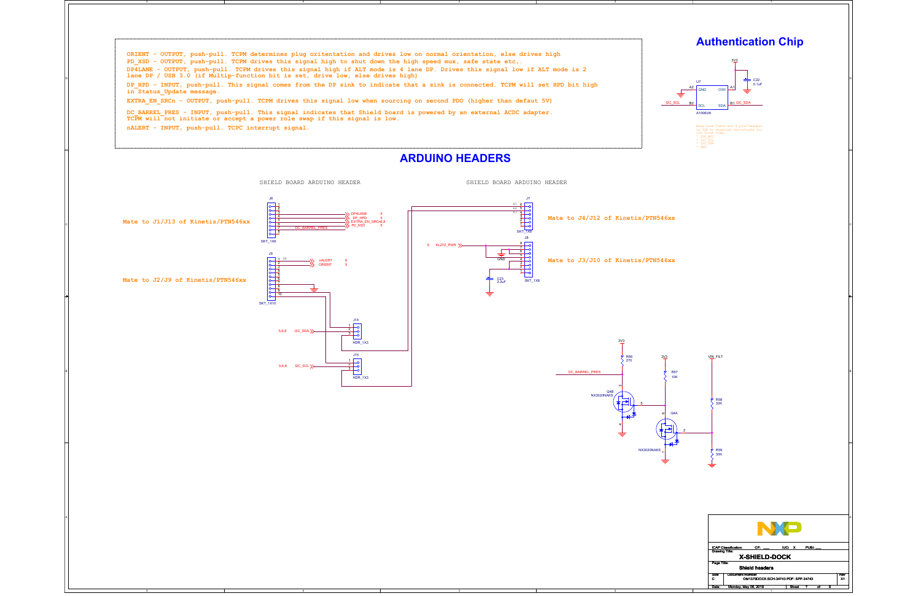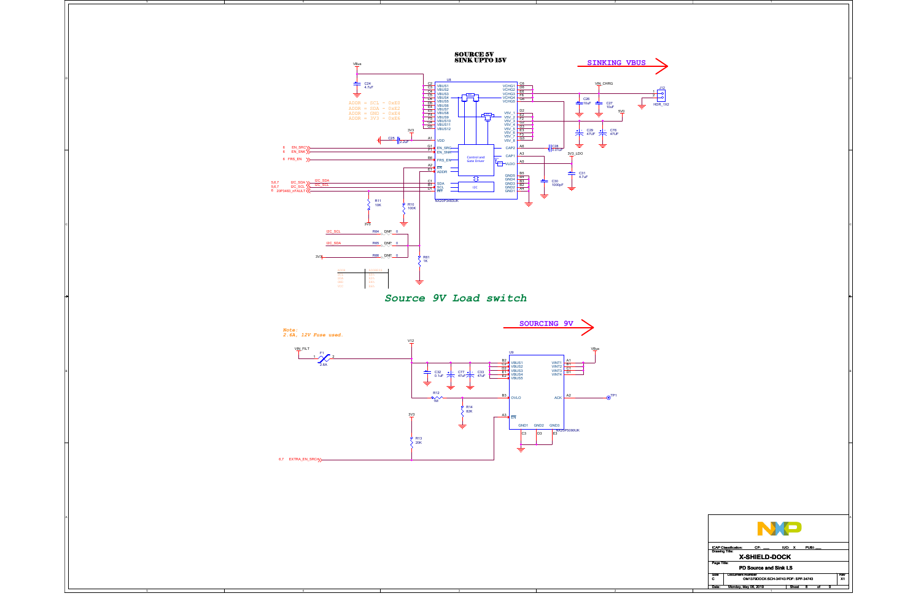